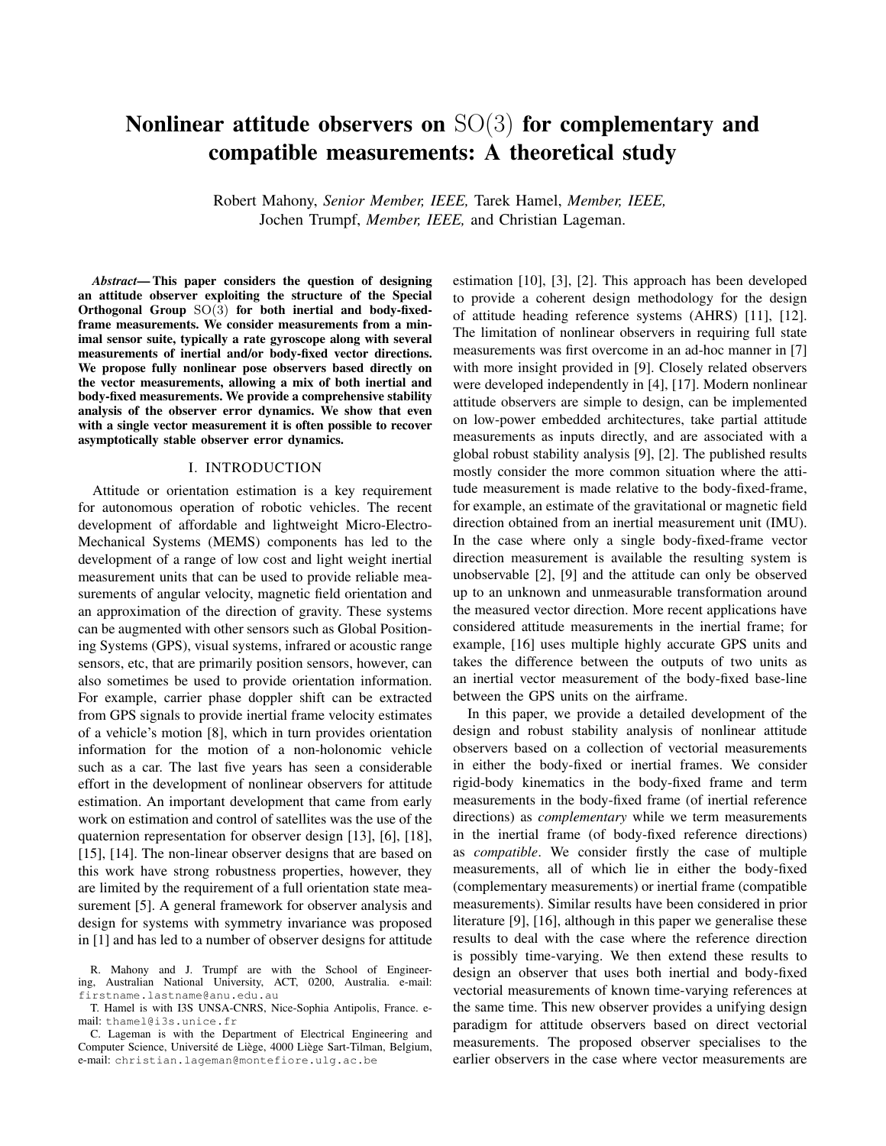# Nonlinear attitude observers on  $SO(3)$  for complementary and compatible measurements: A theoretical study

Robert Mahony, *Senior Member, IEEE,* Tarek Hamel, *Member, IEEE,* Jochen Trumpf, *Member, IEEE,* and Christian Lageman.

*Abstract*— This paper considers the question of designing an attitude observer exploiting the structure of the Special Orthogonal Group SO(3) for both inertial and body-fixedframe measurements. We consider measurements from a minimal sensor suite, typically a rate gyroscope along with several measurements of inertial and/or body-fixed vector directions. We propose fully nonlinear pose observers based directly on the vector measurements, allowing a mix of both inertial and body-fixed measurements. We provide a comprehensive stability analysis of the observer error dynamics. We show that even with a single vector measurement it is often possible to recover asymptotically stable observer error dynamics.

## I. INTRODUCTION

Attitude or orientation estimation is a key requirement for autonomous operation of robotic vehicles. The recent development of affordable and lightweight Micro-Electro-Mechanical Systems (MEMS) components has led to the development of a range of low cost and light weight inertial measurement units that can be used to provide reliable measurements of angular velocity, magnetic field orientation and an approximation of the direction of gravity. These systems can be augmented with other sensors such as Global Positioning Systems (GPS), visual systems, infrared or acoustic range sensors, etc, that are primarily position sensors, however, can also sometimes be used to provide orientation information. For example, carrier phase doppler shift can be extracted from GPS signals to provide inertial frame velocity estimates of a vehicle's motion [8], which in turn provides orientation information for the motion of a non-holonomic vehicle such as a car. The last five years has seen a considerable effort in the development of nonlinear observers for attitude estimation. An important development that came from early work on estimation and control of satellites was the use of the quaternion representation for observer design [13], [6], [18], [15], [14]. The non-linear observer designs that are based on this work have strong robustness properties, however, they are limited by the requirement of a full orientation state measurement [5]. A general framework for observer analysis and design for systems with symmetry invariance was proposed in [1] and has led to a number of observer designs for attitude estimation [10], [3], [2]. This approach has been developed to provide a coherent design methodology for the design of attitude heading reference systems (AHRS) [11], [12]. The limitation of nonlinear observers in requiring full state measurements was first overcome in an ad-hoc manner in [7] with more insight provided in [9]. Closely related observers were developed independently in [4], [17]. Modern nonlinear attitude observers are simple to design, can be implemented on low-power embedded architectures, take partial attitude measurements as inputs directly, and are associated with a global robust stability analysis [9], [2]. The published results mostly consider the more common situation where the attitude measurement is made relative to the body-fixed-frame, for example, an estimate of the gravitational or magnetic field direction obtained from an inertial measurement unit (IMU). In the case where only a single body-fixed-frame vector direction measurement is available the resulting system is unobservable [2], [9] and the attitude can only be observed up to an unknown and unmeasurable transformation around the measured vector direction. More recent applications have considered attitude measurements in the inertial frame; for example, [16] uses multiple highly accurate GPS units and takes the difference between the outputs of two units as an inertial vector measurement of the body-fixed base-line between the GPS units on the airframe.

In this paper, we provide a detailed development of the design and robust stability analysis of nonlinear attitude observers based on a collection of vectorial measurements in either the body-fixed or inertial frames. We consider rigid-body kinematics in the body-fixed frame and term measurements in the body-fixed frame (of inertial reference directions) as *complementary* while we term measurements in the inertial frame (of body-fixed reference directions) as *compatible*. We consider firstly the case of multiple measurements, all of which lie in either the body-fixed (complementary measurements) or inertial frame (compatible measurements). Similar results have been considered in prior literature [9], [16], although in this paper we generalise these results to deal with the case where the reference direction is possibly time-varying. We then extend these results to design an observer that uses both inertial and body-fixed vectorial measurements of known time-varying references at the same time. This new observer provides a unifying design paradigm for attitude observers based on direct vectorial measurements. The proposed observer specialises to the earlier observers in the case where vector measurements are

R. Mahony and J. Trumpf are with the School of Engineering, Australian National University, ACT, 0200, Australia. e-mail: firstname.lastname@anu.edu.au

T. Hamel is with I3S UNSA-CNRS, Nice-Sophia Antipolis, France. email: thamel@i3s.unice.fr

C. Lageman is with the Department of Electrical Engineering and Computer Science, Université de Liège, 4000 Liège Sart-Tilman, Belgium, e-mail: christian.lageman@montefiore.ulg.ac.be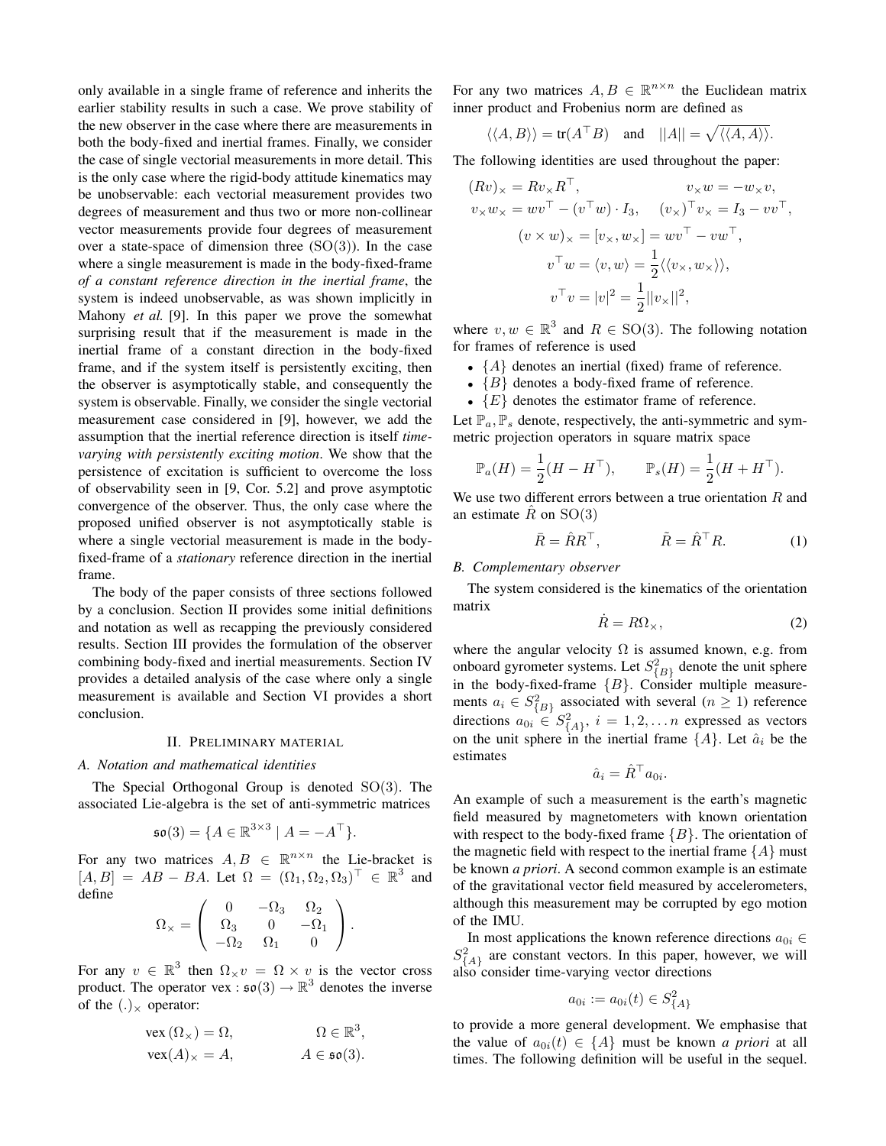only available in a single frame of reference and inherits the earlier stability results in such a case. We prove stability of the new observer in the case where there are measurements in both the body-fixed and inertial frames. Finally, we consider the case of single vectorial measurements in more detail. This is the only case where the rigid-body attitude kinematics may be unobservable: each vectorial measurement provides two degrees of measurement and thus two or more non-collinear vector measurements provide four degrees of measurement over a state-space of dimension three  $(SO(3))$ . In the case where a single measurement is made in the body-fixed-frame *of a constant reference direction in the inertial frame*, the system is indeed unobservable, as was shown implicitly in Mahony *et al.* [9]. In this paper we prove the somewhat surprising result that if the measurement is made in the inertial frame of a constant direction in the body-fixed frame, and if the system itself is persistently exciting, then the observer is asymptotically stable, and consequently the system is observable. Finally, we consider the single vectorial measurement case considered in [9], however, we add the assumption that the inertial reference direction is itself *timevarying with persistently exciting motion*. We show that the persistence of excitation is sufficient to overcome the loss of observability seen in [9, Cor. 5.2] and prove asymptotic convergence of the observer. Thus, the only case where the proposed unified observer is not asymptotically stable is where a single vectorial measurement is made in the bodyfixed-frame of a *stationary* reference direction in the inertial frame.

The body of the paper consists of three sections followed by a conclusion. Section II provides some initial definitions and notation as well as recapping the previously considered results. Section III provides the formulation of the observer combining body-fixed and inertial measurements. Section IV provides a detailed analysis of the case where only a single measurement is available and Section VI provides a short conclusion.

### II. PRELIMINARY MATERIAL

## *A. Notation and mathematical identities*

The Special Orthogonal Group is denoted  $SO(3)$ . The associated Lie-algebra is the set of anti-symmetric matrices

$$
\mathfrak{so}(3) = \{ A \in \mathbb{R}^{3 \times 3} \mid A = -A^\top \}.
$$

For any two matrices  $A, B \in \mathbb{R}^{n \times n}$  the Lie-bracket is  $[A, B] = AB - BA$ . Let  $\Omega = (\Omega_1, \Omega_2, \Omega_3)^T \in \mathbb{R}^3$  and define

$$
\Omega_{\times} = \left( \begin{array}{ccc} 0 & -\Omega_3 & \Omega_2 \\ \Omega_3 & 0 & -\Omega_1 \\ -\Omega_2 & \Omega_1 & 0 \end{array} \right).
$$

For any  $v \in \mathbb{R}^3$  then  $\Omega_{\times} v = \Omega \times v$  is the vector cross product. The operator vex :  $\mathfrak{so}(3) \to \mathbb{R}^3$  denotes the inverse of the  $(.)_{\times}$  operator:

$$
\text{vex}(\Omega_{\times}) = \Omega, \qquad \qquad \Omega \in \mathbb{R}^3, \n\text{vex}(A)_{\times} = A, \qquad \qquad A \in \mathfrak{so}(3).
$$

For any two matrices  $A, B \in \mathbb{R}^{n \times n}$  the Euclidean matrix inner product and Frobenius norm are defined as

$$
\langle \langle A, B \rangle \rangle = \text{tr}(A^{\top}B)
$$
 and  $||A|| = \sqrt{\langle \langle A, A \rangle \rangle}.$ 

The following identities are used throughout the paper:

$$
(Rv)_{\times} = Rv_{\times}R^{\top}, \qquad v_{\times}w = -w_{\times}v,
$$
  
\n
$$
v_{\times}w_{\times} = wv^{\top} - (v^{\top}w) \cdot I_3, \quad (v_{\times})^{\top}v_{\times} = I_3 - vv^{\top},
$$
  
\n
$$
(v \times w)_{\times} = [v_{\times}, w_{\times}] = wv^{\top} - vw^{\top},
$$
  
\n
$$
v^{\top}w = \langle v, w \rangle = \frac{1}{2} \langle \langle v_{\times}, w_{\times} \rangle \rangle,
$$
  
\n
$$
v^{\top}v = |v|^2 = \frac{1}{2} ||v_{\times}||^2,
$$

where  $v, w \in \mathbb{R}^3$  and  $R \in SO(3)$ . The following notation for frames of reference is used

- $\{A\}$  denotes an inertial (fixed) frame of reference.
- ${B}$  denotes a body-fixed frame of reference.
- $\{E\}$  denotes the estimator frame of reference.

Let  $\mathbb{P}_a, \mathbb{P}_s$  denote, respectively, the anti-symmetric and symmetric projection operators in square matrix space

$$
\mathbb{P}_a(H) = \frac{1}{2}(H - H^{\top}), \qquad \mathbb{P}_s(H) = \frac{1}{2}(H + H^{\top}).
$$

We use two different errors between a true orientation  $R$  and an estimate R on  $SO(3)$ 

$$
\bar{R} = \hat{R}R^{\top}, \qquad \qquad \tilde{R} = \hat{R}^{\top}R. \tag{1}
$$

## *B. Complementary observer*

The system considered is the kinematics of the orientation matrix

$$
\dot{R} = R\Omega_{\times},\tag{2}
$$

where the angular velocity  $\Omega$  is assumed known, e.g. from onboard gyrometer systems. Let  $S_{\{B\}}^2$  denote the unit sphere in the body-fixed-frame  ${B}$ . Consider multiple measurements  $a_i \in S^2_{\{B\}}$  associated with several  $(n \ge 1)$  reference directions  $a_{0i} \in S^2_{\{A\}}, i = 1, 2, \dots n$  expressed as vectors on the unit sphere in the inertial frame  $\{A\}$ . Let  $\hat{a}_i$  be the estimates

$$
\hat{a}_i = \hat{R}^\top a_{0i}.
$$

An example of such a measurement is the earth's magnetic field measured by magnetometers with known orientation with respect to the body-fixed frame  ${B}$ . The orientation of the magnetic field with respect to the inertial frame  $\{A\}$  must be known *a priori*. A second common example is an estimate of the gravitational vector field measured by accelerometers, although this measurement may be corrupted by ego motion of the IMU.

In most applications the known reference directions  $a_{0i} \in$  $S_{\{A\}}^2$  are constant vectors. In this paper, however, we will also consider time-varying vector directions

$$
a_{0i} := a_{0i}(t) \in S^2_{\{A\}}
$$

to provide a more general development. We emphasise that the value of  $a_{0i}(t) \in \{A\}$  must be known *a priori* at all times. The following definition will be useful in the sequel.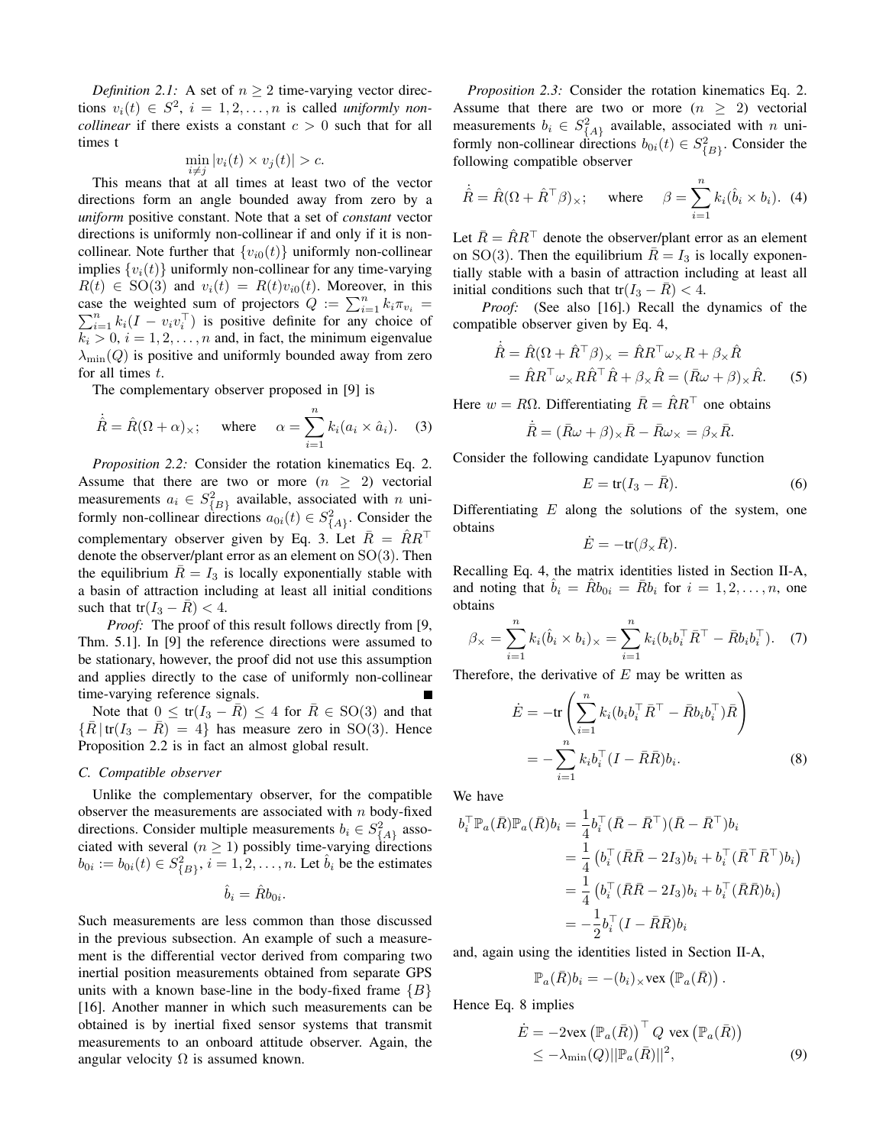*Definition 2.1:* A set of  $n \geq 2$  time-varying vector directions  $v_i(t) \in S^2$ ,  $i = 1, 2, ..., n$  is called *uniformly noncollinear* if there exists a constant  $c > 0$  such that for all times t

$$
\min_{i \neq j} |v_i(t) \times v_j(t)| > c.
$$

This means that at all times at least two of the vector directions form an angle bounded away from zero by a *uniform* positive constant. Note that a set of *constant* vector directions is uniformly non-collinear if and only if it is noncollinear. Note further that  $\{v_{i0}(t)\}\$  uniformly non-collinear implies  $\{v_i(t)\}\$  uniformly non-collinear for any time-varying  $R(t) \in SO(3)$  and  $v_i(t) = R(t)v_{i0}(t)$ . Moreover, in this case the weighted sum of projectors  $Q := \sum_{i=1}^{n} k_i \pi_{v_i}$  $\sum_{i=1}^{n} k_i(I - v_i v_i^{\top})$  is positive definite for any choice of  $k_i > 0$ ,  $i = 1, 2, \ldots, n$  and, in fact, the minimum eigenvalue  $\lambda_{\min}(Q)$  is positive and uniformly bounded away from zero for all times  $t$ .

The complementary observer proposed in [9] is

$$
\dot{\hat{R}} = \hat{R}(\Omega + \alpha)_{\times}; \quad \text{where} \quad \alpha = \sum_{i=1}^{n} k_i (a_i \times \hat{a}_i). \quad (3)
$$

*Proposition 2.2:* Consider the rotation kinematics Eq. 2. Assume that there are two or more  $(n \geq 2)$  vectorial measurements  $a_i \in S^2_{\{B\}}$  available, associated with n uniformly non-collinear directions  $a_{0i}(t) \in S^2_{\{A\}}$ . Consider the complementary observer given by Eq. 3. Let  $R = RR^{\perp}$ denote the observer/plant error as an element on SO(3). Then the equilibrium  $\overline{R} = I_3$  is locally exponentially stable with a basin of attraction including at least all initial conditions such that tr( $I_3 - \bar{R}$ ) < 4.

*Proof:* The proof of this result follows directly from [9, Thm. 5.1]. In [9] the reference directions were assumed to be stationary, however, the proof did not use this assumption and applies directly to the case of uniformly non-collinear time-varying reference signals.

Note that  $0 \leq tr(I_3 - \bar{R}) \leq 4$  for  $\bar{R} \in SO(3)$  and that  $\{R | tr(I_3 - R) = 4\}$  has measure zero in SO(3). Hence Proposition 2.2 is in fact an almost global result.

# *C. Compatible observer*

Unlike the complementary observer, for the compatible observer the measurements are associated with  $n$  body-fixed directions. Consider multiple measurements  $b_i \in S^2_{\{A\}}$  associated with several ( $n \geq 1$ ) possibly time-varying directions  $b_{0i} := b_{0i}(t) \in S^2_{\{B\}}, i = 1, 2, ..., n$ . Let  $\hat{b}_i$  be the estimates

$$
\hat{b}_i = \hat{R}b_{0i}.
$$

Such measurements are less common than those discussed in the previous subsection. An example of such a measurement is the differential vector derived from comparing two inertial position measurements obtained from separate GPS units with a known base-line in the body-fixed frame  ${B}$ [16]. Another manner in which such measurements can be obtained is by inertial fixed sensor systems that transmit measurements to an onboard attitude observer. Again, the angular velocity  $\Omega$  is assumed known.

*Proposition 2.3:* Consider the rotation kinematics Eq. 2. Assume that there are two or more  $(n \geq 2)$  vectorial measurements  $b_i \in S^2_{\{A\}}$  available, associated with n uniformly non-collinear directions  $b_{0i}(t) \in S^2_{\{B\}}$ . Consider the following compatible observer

$$
\dot{\hat{R}} = \hat{R}(\Omega + \hat{R}^{\top}\beta)_{\times}; \quad \text{where} \quad \beta = \sum_{i=1}^{n} k_i (\hat{b}_i \times b_i). \tag{4}
$$

Let  $\overline{R} = \hat{R}R^{\top}$  denote the observer/plant error as an element on SO(3). Then the equilibrium  $\overline{R} = I_3$  is locally exponentially stable with a basin of attraction including at least all initial conditions such that tr( $I_3 - R$ ) < 4.

*Proof:* (See also [16].) Recall the dynamics of the compatible observer given by Eq. 4,

$$
\dot{\hat{R}} = \hat{R}(\Omega + \hat{R}^{\top}\beta)_{\times} = \hat{R}R^{\top}\omega_{\times}R + \beta_{\times}\hat{R}
$$

$$
= \hat{R}R^{\top}\omega_{\times}R\hat{R}^{\top}\hat{R} + \beta_{\times}\hat{R} = (\bar{R}\omega + \beta)_{\times}\hat{R}.\tag{5}
$$

Here  $w = R\Omega$ . Differentiating  $\overline{R} = \hat{R}R^{\top}$  one obtains

$$
\dot{\bar{R}} = (\bar{R}\omega + \beta)_{\times}\bar{R} - \bar{R}\omega_{\times} = \beta_{\times}\bar{R}.
$$

Consider the following candidate Lyapunov function

$$
E = \text{tr}(I_3 - \bar{R}).\tag{6}
$$

Differentiating  $E$  along the solutions of the system, one obtains

$$
\dot{E} = -\text{tr}(\beta_{\times}\bar{R}).
$$

Recalling Eq. 4, the matrix identities listed in Section II-A, and noting that  $\hat{b}_i = \hat{R}b_{0i} = \bar{R}b_i$  for  $i = 1, 2, ..., n$ , one obtains

$$
\beta_{\times} = \sum_{i=1}^{n} k_i (\hat{b}_i \times b_i)_{\times} = \sum_{i=1}^{n} k_i (b_i b_i^{\top} \bar{R}^{\top} - \bar{R} b_i b_i^{\top}). \quad (7)
$$

Therefore, the derivative of  $E$  may be written as

$$
\dot{E} = -\text{tr}\left(\sum_{i=1}^{n} k_i (b_i b_i^\top \bar{R}^\top - \bar{R} b_i b_i^\top) \bar{R}\right)
$$

$$
= -\sum_{i=1}^{n} k_i b_i^\top (I - \bar{R}\bar{R}) b_i.
$$
(8)

We have

$$
b_i^{\top} \mathbb{P}_a(\bar{R}) \mathbb{P}_a(\bar{R}) b_i = \frac{1}{4} b_i^{\top} (\bar{R} - \bar{R}^{\top}) (\bar{R} - \bar{R}^{\top}) b_i
$$
  
\n
$$
= \frac{1}{4} (b_i^{\top} (\bar{R}\bar{R} - 2I_3) b_i + b_i^{\top} (\bar{R}^{\top} \bar{R}^{\top}) b_i)
$$
  
\n
$$
= \frac{1}{4} (b_i^{\top} (\bar{R}\bar{R} - 2I_3) b_i + b_i^{\top} (\bar{R}\bar{R}) b_i)
$$
  
\n
$$
= -\frac{1}{2} b_i^{\top} (I - \bar{R}\bar{R}) b_i
$$

and, again using the identities listed in Section II-A,

$$
\mathbb{P}_a(\bar{R})b_i = -(b_i)_\times \text{vex}\left(\mathbb{P}_a(\bar{R})\right).
$$

Hence Eq. 8 implies

$$
\dot{E} = -2\text{vex}\left(\mathbb{P}_a(\bar{R})\right)^\top Q \text{ vex}\left(\mathbb{P}_a(\bar{R})\right) \leq -\lambda_{\min}(Q) ||\mathbb{P}_a(\bar{R})||^2,
$$
\n(9)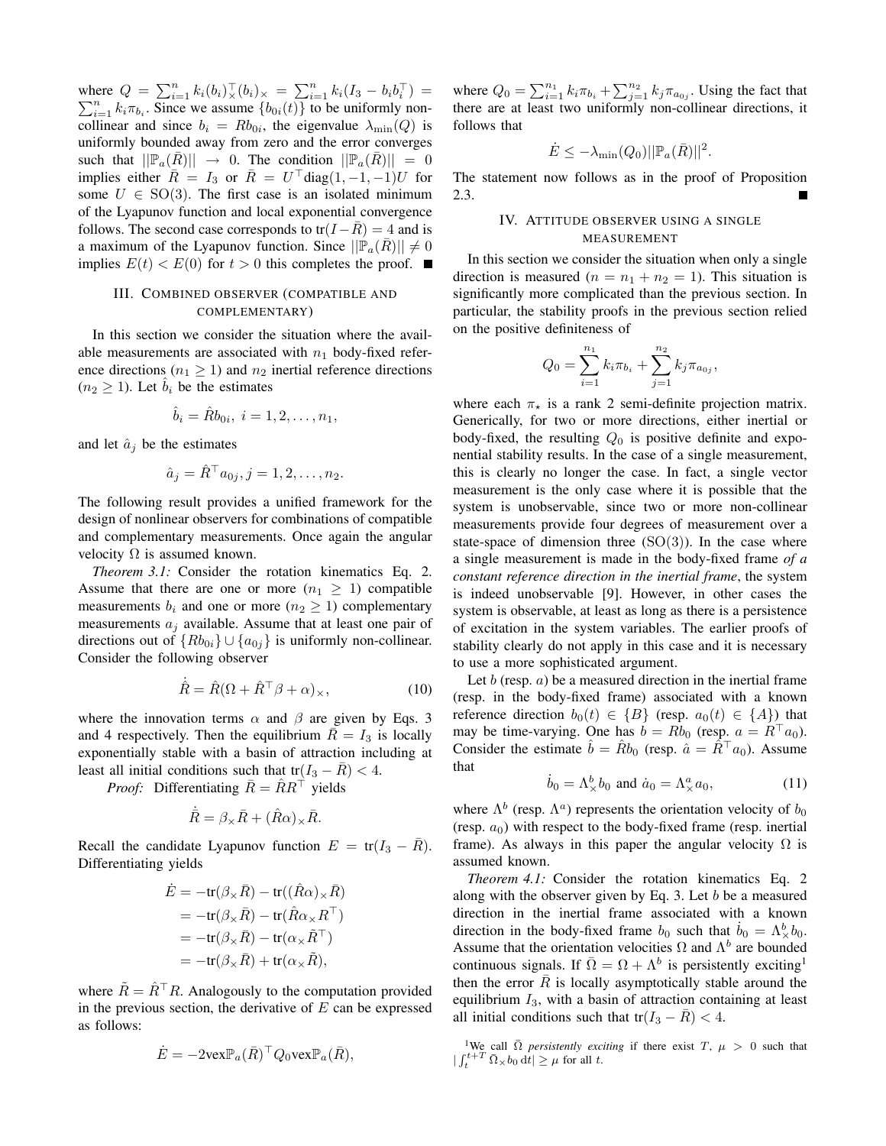where  $Q = \sum_{i=1}^{n} k_i(b_i)_{\times}^{\top} (b_i)_{\times} = \sum_{i=1}^{n} k_i(I_3 - b_i b_i^{\top}) =$  $\sum_{i=1}^{n} k_i \pi_{b_i}$ . Since we assume  $\{b_{0i}(t)\}\$  to be uniformly noncollinear and since  $b_i = Rb_{0i}$ , the eigenvalue  $\lambda_{\min}(Q)$  is uniformly bounded away from zero and the error converges such that  $||\mathbb{P}_a(R)|| \rightarrow 0$ . The condition  $||\mathbb{P}_a(R)|| = 0$ implies either  $\overline{R} = I_3$  or  $\overline{R} = U^{\top}$ diag $(1, -1, -1)U$  for some  $U \in SO(3)$ . The first case is an isolated minimum of the Lyapunov function and local exponential convergence follows. The second case corresponds to tr( $I-\overline{R}$ ) = 4 and is a maximum of the Lyapunov function. Since  $||\mathbb{P}_a(\overline{R})|| \neq 0$ implies  $E(t) < E(0)$  for  $t > 0$  this completes the proof.

# III. COMBINED OBSERVER (COMPATIBLE AND COMPLEMENTARY)

In this section we consider the situation where the available measurements are associated with  $n_1$  body-fixed reference directions ( $n_1 \geq 1$ ) and  $n_2$  inertial reference directions  $(n_2 \geq 1)$ . Let  $b_i$  be the estimates

$$
\hat{b}_i = \hat{R}b_{0i}, \ i = 1, 2, \dots, n_1,
$$

and let  $\hat{a}_j$  be the estimates

$$
\hat{a}_j = \hat{R}^\top a_{0j}, j = 1, 2, \dots, n_2.
$$

The following result provides a unified framework for the design of nonlinear observers for combinations of compatible and complementary measurements. Once again the angular velocity  $\Omega$  is assumed known.

*Theorem 3.1:* Consider the rotation kinematics Eq. 2. Assume that there are one or more  $(n_1 \geq 1)$  compatible measurements  $b_i$  and one or more  $(n_2 \geq 1)$  complementary measurements  $a_i$  available. Assume that at least one pair of directions out of  ${Rb_{0i}} \cup {a_{0j}}$  is uniformly non-collinear. Consider the following observer

$$
\dot{\hat{R}} = \hat{R}(\Omega + \hat{R}^\top \beta + \alpha)_{\times},\tag{10}
$$

where the innovation terms  $\alpha$  and  $\beta$  are given by Eqs. 3 and 4 respectively. Then the equilibrium  $R = I_3$  is locally exponentially stable with a basin of attraction including at least all initial conditions such that tr( $I_3 - R$ ) < 4.

*Proof:* Differentiating  $\overline{R} = \hat{R}R^{\top}$  yields

$$
\dot{\bar{R}} = \beta_{\times}\bar{R} + (\hat{R}\alpha)_{\times}\bar{R}.
$$

Recall the candidate Lyapunov function  $E = \text{tr}(I_3 - R)$ . Differentiating yields

$$
\dot{E} = -\text{tr}(\beta_{\times}\bar{R}) - \text{tr}((\hat{R}\alpha)_{\times}\bar{R})
$$
  
\n
$$
= -\text{tr}(\beta_{\times}\bar{R}) - \text{tr}(\hat{R}\alpha_{\times}R^{\top})
$$
  
\n
$$
= -\text{tr}(\beta_{\times}\bar{R}) - \text{tr}(\alpha_{\times}\tilde{R}^{\top})
$$
  
\n
$$
= -\text{tr}(\beta_{\times}\bar{R}) + \text{tr}(\alpha_{\times}\tilde{R}),
$$

where  $\tilde{R} = \hat{R}^\top R$ . Analogously to the computation provided in the previous section, the derivative of  $E$  can be expressed as follows:

$$
\dot{E} = -2\text{vex} \mathbb{P}_a(\bar{R})^\top Q_0 \text{vex} \mathbb{P}_a(\bar{R}),
$$

where  $Q_0 = \sum_{i=1}^{n_1} k_i \pi_{b_i} + \sum_{j=1}^{n_2} k_j \pi_{a_{0j}}$ . Using the fact that there are at least two uniformly non-collinear directions, it follows that

$$
\dot{E} \le -\lambda_{\min}(Q_0) ||\mathbb{P}_a(\bar{R})||^2.
$$

The statement now follows as in the proof of Proposition 2.3.

# IV. ATTITUDE OBSERVER USING A SINGLE MEASUREMENT

In this section we consider the situation when only a single direction is measured ( $n = n_1 + n_2 = 1$ ). This situation is significantly more complicated than the previous section. In particular, the stability proofs in the previous section relied on the positive definiteness of

$$
Q_0 = \sum_{i=1}^{n_1} k_i \pi_{b_i} + \sum_{j=1}^{n_2} k_j \pi_{a_{0j}},
$$

where each  $\pi_{\star}$  is a rank 2 semi-definite projection matrix. Generically, for two or more directions, either inertial or body-fixed, the resulting  $Q_0$  is positive definite and exponential stability results. In the case of a single measurement, this is clearly no longer the case. In fact, a single vector measurement is the only case where it is possible that the system is unobservable, since two or more non-collinear measurements provide four degrees of measurement over a state-space of dimension three  $(SO(3))$ . In the case where a single measurement is made in the body-fixed frame *of a constant reference direction in the inertial frame*, the system is indeed unobservable [9]. However, in other cases the system is observable, at least as long as there is a persistence of excitation in the system variables. The earlier proofs of stability clearly do not apply in this case and it is necessary to use a more sophisticated argument.

Let b (resp.  $a$ ) be a measured direction in the inertial frame (resp. in the body-fixed frame) associated with a known reference direction  $b_0(t) \in {B}$  (resp.  $a_0(t) \in {A}$ ) that may be time-varying. One has  $b = Rb_0$  (resp.  $a = R<sup>T</sup>a_0$ ). Consider the estimate  $\hat{b} = \hat{R}b_0$  (resp.  $\hat{a} = \hat{R}^{\top}a_0$ ). Assume that

$$
\dot{b}_0 = \Lambda_\times^b b_0 \text{ and } \dot{a}_0 = \Lambda_\times^a a_0,\tag{11}
$$

where  $\Lambda^b$  (resp.  $\Lambda^a$ ) represents the orientation velocity of  $b_0$ (resp.  $a_0$ ) with respect to the body-fixed frame (resp. inertial frame). As always in this paper the angular velocity  $\Omega$  is assumed known.

*Theorem 4.1:* Consider the rotation kinematics Eq. 2 along with the observer given by Eq. 3. Let  $b$  be a measured direction in the inertial frame associated with a known direction in the body-fixed frame  $b_0$  such that  $\dot{b}_0 = \Lambda^b_{\times} b_0$ . Assume that the orientation velocities  $\Omega$  and  $\Lambda^b$  are bounded continuous signals. If  $\overline{\Omega} = \Omega + \Lambda^b$  is persistently exciting<sup>1</sup> then the error  $\overline{R}$  is locally asymptotically stable around the equilibrium  $I_3$ , with a basin of attraction containing at least all initial conditions such that tr( $I_3 - R$ ) < 4.

<sup>1</sup>We call  $\overline{\Omega}$  *persistently exciting* if there exist T,  $\mu > 0$  such that  $|\int_{t}^{t+T} \bar{\Omega}_{\times} b_0 \, \mathrm{d}t| \geq \mu$  for all t.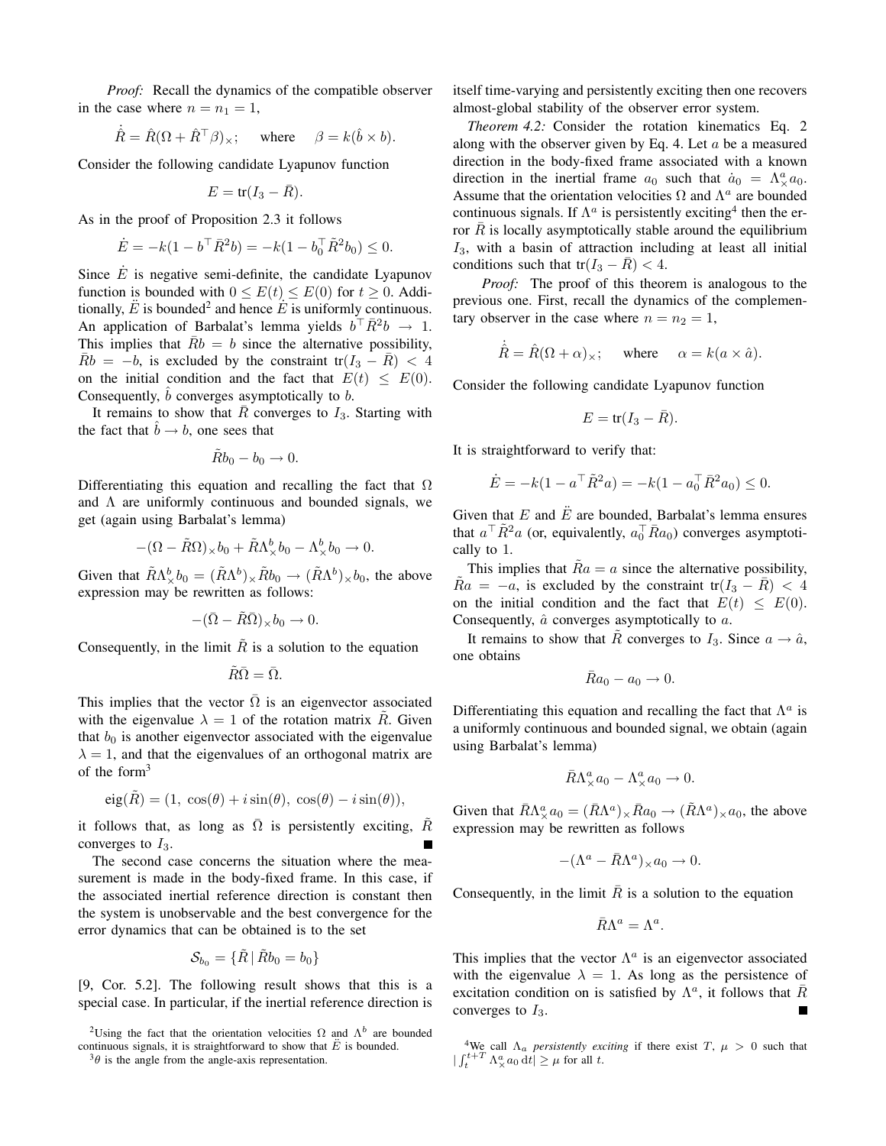*Proof:* Recall the dynamics of the compatible observer in the case where  $n = n_1 = 1$ ,

$$
\dot{\hat{R}} = \hat{R}(\Omega + \hat{R}^\top \beta)_{\times}; \quad \text{ where } \quad \beta = k(\hat{b} \times b).
$$

Consider the following candidate Lyapunov function

$$
E = \text{tr}(I_3 - \bar{R}).
$$

As in the proof of Proposition 2.3 it follows

$$
\dot{E} = -k(1 - b^{\top} \bar{R}^2 b) = -k(1 - b_0^{\top} \tilde{R}^2 b_0) \le 0.
$$

Since  $\dot{E}$  is negative semi-definite, the candidate Lyapunov function is bounded with  $0 \le E(t) \le E(0)$  for  $t \ge 0$ . Additionally,  $\ddot{E}$  is bounded<sup>2</sup> and hence  $\dot{E}$  is uniformly continuous. An application of Barbalat's lemma yields  $b^{\dagger} \bar{R}^2 b \rightarrow 1$ . This implies that  $Rb = b$  since the alternative possibility,  $\bar{R}b = -b$ , is excluded by the constraint tr $(I_3 - \bar{R}) < 4$ on the initial condition and the fact that  $E(t) \leq E(0)$ . Consequently,  $\hat{b}$  converges asymptotically to  $b$ .

It remains to show that  $\overline{R}$  converges to  $I_3$ . Starting with the fact that  $\hat{b} \rightarrow b$ , one sees that

$$
\tilde{R}b_0 - b_0 \to 0.
$$

Differentiating this equation and recalling the fact that  $\Omega$ and  $\Lambda$  are uniformly continuous and bounded signals, we get (again using Barbalat's lemma)

$$
-(\Omega - \tilde{R}\Omega)_{\times}b_0 + \tilde{R}\Lambda^b_{\times}b_0 - \Lambda^b_{\times}b_0 \to 0.
$$

Given that  $\tilde{R}\Lambda_{\times}^{b}b_{0} = (\tilde{R}\Lambda^{b})_{\times}\tilde{R}b_{0} \to (\tilde{R}\Lambda^{b})_{\times}b_{0}$ , the above expression may be rewritten as follows:

$$
-(\bar{\Omega}-\tilde{R}\bar{\Omega})_{\times}b_0\to 0.
$$

Consequently, in the limit  $\tilde{R}$  is a solution to the equation

$$
\tilde{R}\bar{\Omega}=\bar{\Omega}.
$$

This implies that the vector  $\Omega$  is an eigenvector associated with the eigenvalue  $\lambda = 1$  of the rotation matrix R. Given that  $b_0$  is another eigenvector associated with the eigenvalue  $\lambda = 1$ , and that the eigenvalues of an orthogonal matrix are of the form<sup>3</sup>

$$
eig(\tilde{R}) = (1, \cos(\theta) + i\sin(\theta), \cos(\theta) - i\sin(\theta)),
$$

it follows that, as long as  $\overline{\Omega}$  is persistently exciting,  $\tilde{R}$ converges to  $I_3$ .

The second case concerns the situation where the measurement is made in the body-fixed frame. In this case, if the associated inertial reference direction is constant then the system is unobservable and the best convergence for the error dynamics that can be obtained is to the set

$$
\mathcal{S}_{b_0}=\{\tilde{R}\,|\,\tilde{R}b_0=b_0\}
$$

[9, Cor. 5.2]. The following result shows that this is a special case. In particular, if the inertial reference direction is

itself time-varying and persistently exciting then one recovers almost-global stability of the observer error system.

*Theorem 4.2:* Consider the rotation kinematics Eq. 2 along with the observer given by Eq. 4. Let  $a$  be a measured direction in the body-fixed frame associated with a known direction in the inertial frame  $a_0$  such that  $\dot{a}_0 = \Lambda^a_{\times} a_0$ . Assume that the orientation velocities  $\Omega$  and  $\Lambda^a$  are bounded continuous signals. If  $\Lambda^a$  is persistently exciting<sup>4</sup> then the error  $\overline{R}$  is locally asymptotically stable around the equilibrium  $I_3$ , with a basin of attraction including at least all initial conditions such that tr( $I_3 - \bar{R}$ ) < 4.

*Proof:* The proof of this theorem is analogous to the previous one. First, recall the dynamics of the complementary observer in the case where  $n = n_2 = 1$ ,

$$
\dot{\hat{R}} = \hat{R}(\Omega + \alpha)_{\times}; \quad \text{where} \quad \alpha = k(a \times \hat{a}).
$$

Consider the following candidate Lyapunov function

$$
E = \text{tr}(I_3 - \bar{R}).
$$

It is straightforward to verify that:

$$
\dot{E} = -k(1 - a^{\top} \tilde{R}^2 a) = -k(1 - a_0^{\top} \bar{R}^2 a_0) \le 0.
$$

Given that  $E$  and  $\ddot{E}$  are bounded, Barbalat's lemma ensures that  $a^{\top} \tilde{R}^2 a$  (or, equivalently,  $a_0^{\top} \bar{R} a_0$ ) converges asymptotically to 1.

This implies that  $Ra = a$  since the alternative possibility,  $Ra = -a$ , is excluded by the constraint tr( $I_3 - R$ ) < 4 on the initial condition and the fact that  $E(t) \leq E(0)$ . Consequently,  $\hat{a}$  converges asymptotically to  $a$ .

It remains to show that  $\tilde{R}$  converges to  $I_3$ . Since  $a \to \hat{a}$ , one obtains

$$
\bar{R}a_0 - a_0 \to 0.
$$

Differentiating this equation and recalling the fact that  $\Lambda^a$  is a uniformly continuous and bounded signal, we obtain (again using Barbalat's lemma)

$$
\bar{R}\Lambda_{\times}^a a_0 - \Lambda_{\times}^a a_0 \to 0.
$$

Given that  $\bar{R}\Lambda^a_{\times}a_0 = (\bar{R}\Lambda^a)_{\times}\bar{R}a_0 \to (\tilde{R}\Lambda^a)_{\times}a_0$ , the above expression may be rewritten as follows

$$
-(\Lambda^a - \bar{R}\Lambda^a)_{\times} a_0 \to 0.
$$

Consequently, in the limit  $\overline{R}$  is a solution to the equation

$$
\bar{R}\Lambda ^a=\Lambda ^a.
$$

This implies that the vector  $\Lambda^a$  is an eigenvector associated with the eigenvalue  $\lambda = 1$ . As long as the persistence of excitation condition on is satisfied by  $\Lambda^a$ , it follows that  $\bar{R}$ converges to  $I_3$ . П

<sup>&</sup>lt;sup>2</sup>Using the fact that the orientation velocities  $\Omega$  and  $\Lambda^b$  are bounded continuous signals, it is straightforward to show that  $\ddot{E}$  is bounded.

 $3\theta$  is the angle from the angle-axis representation.

<sup>&</sup>lt;sup>4</sup>We call  $\Lambda_a$  *persistently exciting* if there exist T,  $\mu > 0$  such that  $\left| \int_{t}^{t+T} \Lambda_{\times}^{a} a_0 dt \right| \geq \mu$  for all t.